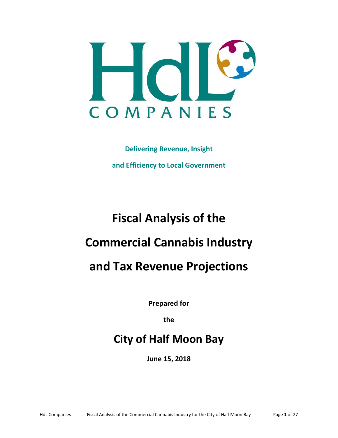

**Delivering Revenue, Insight and Efficiency to Local Government** 

# **Fiscal Analysis of the Commercial Cannabis Industry**

# **and Tax Revenue Projections**

**Prepared for** 

**the** 

# **City of Half Moon Bay**

**June 15, 2018**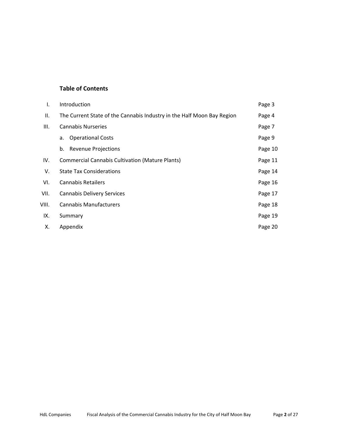# **Table of Contents**

| I.    | Introduction                                                           | Page 3  |
|-------|------------------------------------------------------------------------|---------|
| Ш.    | The Current State of the Cannabis Industry in the Half Moon Bay Region | Page 4  |
| III.  | <b>Cannabis Nurseries</b>                                              | Page 7  |
|       | <b>Operational Costs</b><br>а.                                         | Page 9  |
|       | b. Revenue Projections                                                 | Page 10 |
| IV.   | <b>Commercial Cannabis Cultivation (Mature Plants)</b>                 | Page 11 |
| V.    | <b>State Tax Considerations</b>                                        | Page 14 |
| VI.   | <b>Cannabis Retailers</b>                                              | Page 16 |
| VII.  | <b>Cannabis Delivery Services</b>                                      | Page 17 |
| VIII. | <b>Cannabis Manufacturers</b>                                          | Page 18 |
| IX.   | Summary                                                                | Page 19 |
| х.    | Appendix                                                               | Page 20 |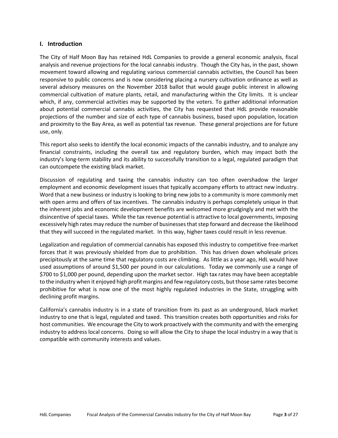#### **I. Introduction**

The City of Half Moon Bay has retained HdL Companies to provide a general economic analysis, fiscal analysis and revenue projections for the local cannabis industry. Though the City has, in the past, shown movement toward allowing and regulating various commercial cannabis activities, the Council has been responsive to public concerns and is now considering placing a nursery cultivation ordinance as well as several advisory measures on the November 2018 ballot that would gauge public interest in allowing commercial cultivation of mature plants, retail, and manufacturing within the City limits. It is unclear which, if any, commercial activities may be supported by the voters. To gather additional information about potential commercial cannabis activities, the City has requested that HdL provide reasonable projections of the number and size of each type of cannabis business, based upon population, location and proximity to the Bay Area, as well as potential tax revenue. These general projections are for future use, only.

This report also seeks to identify the local economic impacts of the cannabis industry, and to analyze any financial constraints, including the overall tax and regulatory burden, which may impact both the industry's long‐term stability and its ability to successfully transition to a legal, regulated paradigm that can outcompete the existing black market.

Discussion of regulating and taxing the cannabis industry can too often overshadow the larger employment and economic development issues that typically accompany efforts to attract new industry. Word that a new business or industry is looking to bring new jobs to a community is more commonly met with open arms and offers of tax incentives. The cannabis industry is perhaps completely unique in that the inherent jobs and economic development benefits are welcomed more grudgingly and met with the disincentive of special taxes. While the tax revenue potential is attractive to local governments, imposing excessively high rates may reduce the number of businesses that step forward and decrease the likelihood that they will succeed in the regulated market. In this way, higher taxes could result in less revenue.

Legalization and regulation of commercial cannabis has exposed this industry to competitive free‐market forces that it was previously shielded from due to prohibition. This has driven down wholesale prices precipitously at the same time that regulatory costs are climbing. As little as a year ago, HdL would have used assumptions of around \$1,500 per pound in our calculations. Today we commonly use a range of \$700 to \$1,000 per pound, depending upon the market sector. High tax rates may have been acceptable to the industry when it enjoyed high profit margins and few regulatory costs, but those same rates become prohibitive for what is now one of the most highly regulated industries in the State, struggling with declining profit margins.

California's cannabis industry is in a state of transition from its past as an underground, black market industry to one that is legal, regulated and taxed. This transition creates both opportunities and risks for host communities. We encourage the City to work proactively with the community and with the emerging industry to address local concerns. Doing so will allow the City to shape the local industry in a way that is compatible with community interests and values.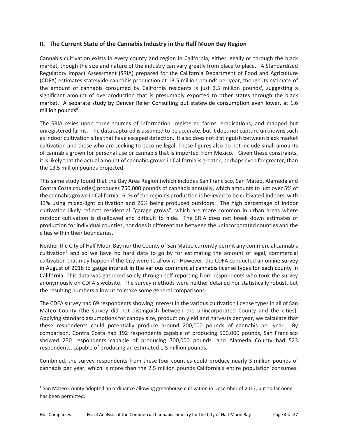# **II. The Current State of the Cannabis Industry in the Half Moon Bay Region**

Cannabis cultivation exists in every county and region in California, either legally or through the black market, though the size and nature of the industry can vary greatly from place to place. A Standardized Regulatory Impact Assessment (SRIA) prepared for the California Department of Food and Agriculture (CDFA) estimates statewide cannabis production at 13.5 million pounds per year, though its estimate of the amount of cannabis consumed by California residents is just 2.5 million pounds<sup>*i*</sup>, suggesting a significant amount of overproduction that is presumably exported to other states through the black market. A separate study by Denver Relief Consulting put statewide consumption even lower, at 1.6 million pounds<sup>ii</sup>.

The SRIA relies upon three sources of information: registered farms, eradications, and mapped but unregistered farms. The data captured is assumed to be accurate, but it does not capture unknowns such as indoor cultivation sites that have escaped detection. It also does not distinguish between black market cultivation and those who are seeking to become legal. These figures also do not include small amounts of cannabis grown for personal use or cannabis that is imported from Mexico. Given these constraints, it is likely that the actual amount of cannabis grown in California is greater, perhaps even far greater, than the 13.5 million pounds projected.

This same study found that the Bay Area Region (which includes San Francisco, San Mateo, Alameda and Contra Costa counties) produces 750,000 pounds of cannabis annually, which amounts to just over 5% of the cannabis grown in California. 61% of the region's production is believed to be cultivated indoors, with 13% using mixed-light cultivation and 26% being produced outdoors. The high percentage of indoor cultivation likely reflects residential "garage grows", which are more common in urban areas where outdoor cultivation is disallowed and difficult to hide. The SRIA does not break down estimates of production for individual counties, nor does it differentiate between the unincorporated counties and the cities within their boundaries.

Neither the City of Half Moon Bay nor the County of San Mateo currently permit any commercial cannabis  $c$ ultivation<sup>1</sup> and so we have no hard data to go by for estimating the amount of legal, commercial cultivation that may happen if the City were to allow it. However, the CDFA conducted an online survey in August of 2016 to gauge interest in the various commercial cannabis license types for each county in California. This data was gathered solely through self‐reporting from respondents who took the survey anonymously on CDFA's website. The survey methods were neither detailed nor statistically robust, but the resulting numbers allow us to make some general comparisons.

The CDFA survey had 69 respondents showing interest in the various cultivation license types in all of San Mateo County (the survey did not distinguish between the unincorporated County and the cities). Applying standard assumptions for canopy size, production yield and harvests per year, we calculate that these respondents could potentially produce around 200,000 pounds of cannabis per year. By comparison, Contra Costa had 192 respondents capable of producing 500,000 pounds, San Francisco showed 230 respondents capable of producing 700,000 pounds, and Alameda County had 523 respondents, capable of producing an estimated 1.5 million pounds.

Combined, the survey respondents from these four counties could produce nearly 3 million pounds of cannabis per year, which is more than the 2.5 million pounds California's entire population consumes.

<sup>&</sup>lt;sup>1</sup> San Mateo County adopted an ordinance allowing greenhouse cultivation in December of 2017, but so far none has been permitted.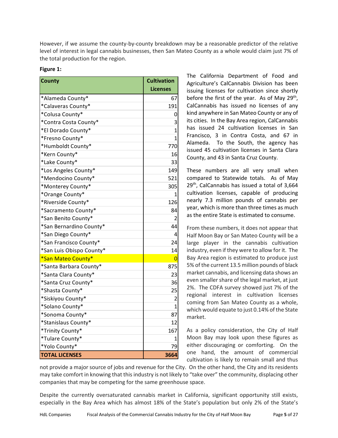However, if we assume the county‐by‐county breakdown may be a reasonable predictor of the relative level of interest in legal cannabis businesses, then San Mateo County as a whole would claim just 7% of the total production for the region.

| <b>County</b>            | <b>Cultivation</b> |
|--------------------------|--------------------|
|                          | <b>Licenses</b>    |
| *Alameda County*         | 67                 |
| *Calaveras County*       | 191                |
| *Colusa County*          | 0                  |
| *Contra Costa County*    | 3                  |
| *El Dorado County*       | $\mathbf{1}$       |
| *Fresno County*          | 1                  |
| *Humboldt County*        | 770                |
| *Kern County*            | 16                 |
| *Lake County*            | 33                 |
| *Los Angeles County*     | 149                |
| *Mendocino County*       | 521                |
| *Monterey County*        | 305                |
| *Orange County*          | 1                  |
| *Riverside County*       | 126                |
| *Sacramento County*      | 84                 |
| *San Benito County*      | 2                  |
| *San Bernardino County*  | 44                 |
| *San Diego County*       | 4                  |
| *San Francisco County*   | 24                 |
| *San Luis Obispo County* | 14                 |
| *San Mateo County*       | 0                  |
| *Santa Barbara County*   | 875                |
| *Santa Clara County*     | 23                 |
| *Santa Cruz County*      | 36                 |
| *Shasta County*          | 25                 |
| *Siskiyou County*        | 2                  |
| *Solano County*          | $\mathbf{1}$       |
| *Sonoma County*          | 87                 |
| *Stanislaus County*      | 12                 |
| *Trinity County*         | 167                |
| *Tulare County*          | 1                  |
| *Yolo County*            | 79                 |
| <b>TOTAL LICENSES</b>    | 3664               |

The California Department of Food and Agriculture's CalCannabis Division has been issuing licenses for cultivation since shortly before the first of the year. As of May 29<sup>th</sup>, CalCannabis has issued no licenses of any kind anywhere in San Mateo County or any of its cities. In the Bay Area region, CalCannabis has issued 24 cultivation licenses in San Francisco, 3 in Contra Costa, and 67 in Alameda. To the South, the agency has issued 45 cultivation licenses in Santa Clara County, and 43 in Santa Cruz County.

These numbers are all very small when compared to Statewide totals. As of May 29<sup>th</sup>, CalCannabis has issued a total of 3,664 cultivation licenses, capable of producing nearly 7.3 million pounds of cannabis per year, which is more than three times as much as the entire State is estimated to consume.

From these numbers, it does not appear that Half Moon Bay or San Mateo County will be a large player in the cannabis cultivation industry, even if they were to allow for it. The Bay Area region is estimated to produce just 5% of the current 13.5 million pounds of black market cannabis, and licensing data shows an even smaller share of the legal market, at just 2%. The CDFA survey showed just 7% of the regional interest in cultivation licenses coming from San Mateo County as a whole, which would equate to just 0.14% of the State market.

As a policy consideration, the City of Half Moon Bay may look upon these figures as either discouraging or comforting. On the one hand, the amount of commercial cultivation is likely to remain small and thus

not provide a major source of jobs and revenue for the City. On the other hand, the City and its residents may take comfort in knowing that this industry is not likely to "take over" the community, displacing other companies that may be competing for the same greenhouse space.

Despite the currently oversaturated cannabis market in California, significant opportunity still exists, especially in the Bay Area which has almost 18% of the State's population but only 2% of the State's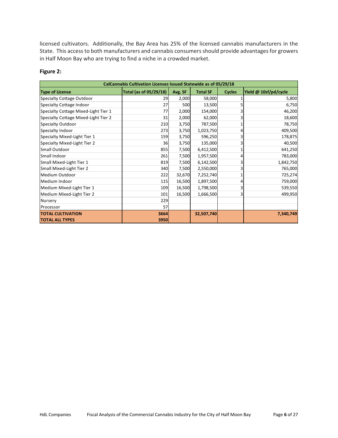licensed cultivators. Additionally, the Bay Area has 25% of the licensed cannabis manufacturers in the State. This access to both manufacturers and cannabis consumers should provide advantages for growers in Half Moon Bay who are trying to find a niche in a crowded market.

#### **Figure 2:**

| CalCannabis Cultivation Licenses Issued Statewide as of 05/29/18 |                               |         |                 |               |                       |  |  |  |
|------------------------------------------------------------------|-------------------------------|---------|-----------------|---------------|-----------------------|--|--|--|
| <b>Type of License</b>                                           | <b>Total (as of 05/29/18)</b> | Avg. SF | <b>Total SF</b> | <b>Cycles</b> | Yield @ 10sf/pd/cycle |  |  |  |
| <b>Specialty Cottage Outdoor</b>                                 | 29                            | 2,000   | 58,000          |               | 5,800                 |  |  |  |
| <b>Specialty Cottage Indoor</b>                                  | 27                            | 500     | 13,500          |               | 6,750                 |  |  |  |
| Specialty Cottage Mixed-Light Tier 1                             | 77                            | 2,000   | 154,000         |               | 46,200                |  |  |  |
| Specialty Cottage Mixed-Light Tier 2                             | 31                            | 2,000   | 62,000          |               | 18,600                |  |  |  |
| <b>Specialty Outdoor</b>                                         | 210                           | 3,750   | 787,500         |               | 78,750                |  |  |  |
| Specialty Indoor                                                 | 273                           | 3,750   | 1,023,750       |               | 409,500               |  |  |  |
| Specialty Mixed-Light Tier 1                                     | 159                           | 3,750   | 596,250         |               | 178,875               |  |  |  |
| Specialty Mixed-Light Tier 2                                     | 36                            | 3,750   | 135,000         |               | 40,500                |  |  |  |
| Small Outdoor                                                    | 855                           | 7,500   | 6,412,500       |               | 641,250               |  |  |  |
| Small Indoor                                                     | 261                           | 7,500   | 1,957,500       |               | 783,000               |  |  |  |
| Small Mixed-Light Tier 1                                         | 819                           | 7,500   | 6,142,500       |               | 1,842,750             |  |  |  |
| Small Mixed-Light Tier 2                                         | 340                           | 7,500   | 2,550,000       |               | 765,000               |  |  |  |
| Medium Outdoor                                                   | 222                           | 32,670  | 7,252,740       |               | 725,274               |  |  |  |
| Medium Indoor                                                    | 115                           | 16,500  | 1,897,500       |               | 759,000               |  |  |  |
| Medium Mixed-Light Tier 1                                        | 109                           | 16,500  | 1,798,500       |               | 539,550               |  |  |  |
| Medium Mixed-Light Tier 2                                        | 101                           | 16,500  | 1,666,500       |               | 499,950               |  |  |  |
| Nursery                                                          | 229                           |         |                 |               |                       |  |  |  |
| Processor                                                        | 57                            |         |                 |               |                       |  |  |  |
| <b>TOTAL CULTIVATION</b>                                         | 3664                          |         | 32,507,740      |               | 7,340,749             |  |  |  |
| <b>TOTAL ALL TYPES</b>                                           | 3950                          |         |                 |               |                       |  |  |  |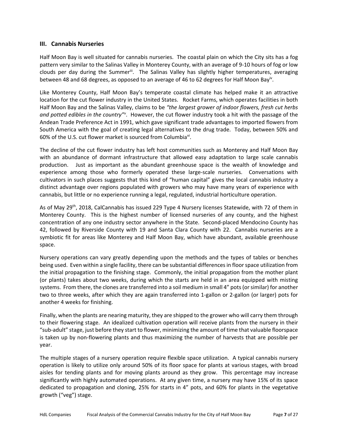# **III. Cannabis Nurseries**

Half Moon Bay is well situated for cannabis nurseries. The coastal plain on which the City sits has a fog pattern very similar to the Salinas Valley in Monterey County, with an average of 9‐10 hours of fog or low clouds per day during the Summer<sup>iii</sup>. The Salinas Valley has slightly higher temperatures, averaging between 48 and 68 degrees, as opposed to an average of 46 to 62 degrees for Half Moon Bay<sup>iv</sup>.

Like Monterey County, Half Moon Bay's temperate coastal climate has helped make it an attractive location for the cut flower industry in the United States. Rocket Farms, which operates facilities in both Half Moon Bay and the Salinas Valley, claims to be *"the largest grower of indoor flowers, fresh cut herbs*  and potted edibles in the country"<sup>v</sup>. However, the cut flower industry took a hit with the passage of the Andean Trade Preference Act in 1991, which gave significant trade advantages to imported flowers from South America with the goal of creating legal alternatives to the drug trade. Today, between 50% and 60% of the U.S. cut flower market is sourced from Columbiavi.

The decline of the cut flower industry has left host communities such as Monterey and Half Moon Bay with an abundance of dormant infrastructure that allowed easy adaptation to large scale cannabis production. Just as important as the abundant greenhouse space is the wealth of knowledge and experience among those who formerly operated these large-scale nurseries. Conversations with cultivators in such places suggests that this kind of "human capital" gives the local cannabis industry a distinct advantage over regions populated with growers who may have many years of experience with cannabis, but little or no experience running a legal, regulated, industrial horticulture operation.

As of May 29th, 2018, CalCannabis has issued 229 Type 4 Nursery licenses Statewide, with 72 of them in Monterey County. This is the highest number of licensed nurseries of any county, and the highest concentration of any one industry sector anywhere in the State. Second‐placed Mendocino County has 42, followed by Riverside County with 19 and Santa Clara County with 22. Cannabis nurseries are a symbiotic fit for areas like Monterey and Half Moon Bay, which have abundant, available greenhouse space.

Nursery operations can vary greatly depending upon the methods and the types of tables or benches being used. Even within a single facility, there can be substantial differences in floor space utilization from the initial propagation to the finishing stage. Commonly, the initial propagation from the mother plant (or plants) takes about two weeks, during which the starts are held in an area equipped with misting systems. From there, the clones are transferred into a soil medium in small 4" pots (or similar) for another two to three weeks, after which they are again transferred into 1‐gallon or 2‐gallon (or larger) pots for another 4 weeks for finishing.

Finally, when the plants are nearing maturity, they are shipped to the grower who will carry them through to their flowering stage. An idealized cultivation operation will receive plants from the nursery in their "sub‐adult" stage, just before they start to flower, minimizing the amount of time that valuable floorspace is taken up by non‐flowering plants and thus maximizing the number of harvests that are possible per year.

The multiple stages of a nursery operation require flexible space utilization. A typical cannabis nursery operation is likely to utilize only around 50% of its floor space for plants at various stages, with broad aisles for tending plants and for moving plants around as they grow. This percentage may increase significantly with highly automated operations. At any given time, a nursery may have 15% of its space dedicated to propagation and cloning, 25% for starts in 4" pots, and 60% for plants in the vegetative growth ("veg") stage.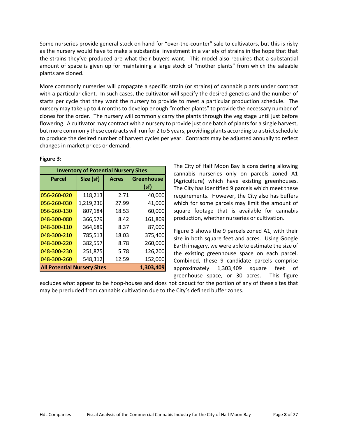Some nurseries provide general stock on hand for "over-the-counter" sale to cultivators, but this is risky as the nursery would have to make a substantial investment in a variety of strains in the hope that that the strains they've produced are what their buyers want. This model also requires that a substantial amount of space is given up for maintaining a large stock of "mother plants" from which the saleable plants are cloned.

More commonly nurseries will propagate a specific strain (or strains) of cannabis plants under contract with a particular client. In such cases, the cultivator will specify the desired genetics and the number of starts per cycle that they want the nursery to provide to meet a particular production schedule. The nursery may take up to 4 months to develop enough "mother plants" to provide the necessary number of clones for the order. The nursery will commonly carry the plants through the veg stage until just before flowering. A cultivator may contract with a nursery to provide just one batch of plants for a single harvest, but more commonly these contracts will run for 2 to 5 years, providing plants according to a strict schedule to produce the desired number of harvest cycles per year. Contracts may be adjusted annually to reflect changes in market prices or demand.

| <b>Inventory of Potential Nursery Sites</b>     |           |              |                   |  |  |  |
|-------------------------------------------------|-----------|--------------|-------------------|--|--|--|
| <b>Parcel</b>                                   | Size (sf) | <b>Acres</b> | <b>Greenhouse</b> |  |  |  |
|                                                 |           |              | (sf)              |  |  |  |
| 056-260-020                                     | 118,213   | 2.71         | 40,000            |  |  |  |
| 056-260-030                                     | 1,219,236 | 27.99        | 41,000            |  |  |  |
| 056-260-130                                     | 807,184   | 18.53        | 60,000            |  |  |  |
| 048-300-080                                     | 366,579   | 8.42         | 161,809           |  |  |  |
| 048-300-110                                     | 364,689   | 8.37         | 87,000            |  |  |  |
| 048-300-210                                     | 785,513   | 18.03        | 375,400           |  |  |  |
| 048-300-220                                     | 382,557   | 8.78         | 260,000           |  |  |  |
| 048-300-230                                     | 251,875   | 5.78         | 126,200           |  |  |  |
| 048-300-260                                     | 548,312   | 12.59        | 152,000           |  |  |  |
| <b>All Potential Nursery Sites</b><br>1,303,409 |           |              |                   |  |  |  |

#### **Figure 3:**

The City of Half Moon Bay is considering allowing cannabis nurseries only on parcels zoned A1 (Agriculture) which have existing greenhouses. The City has identified 9 parcels which meet these requirements. However, the City also has buffers which for some parcels may limit the amount of square footage that is available for cannabis production, whether nurseries or cultivation.

Figure 3 shows the 9 parcels zoned A1, with their size in both square feet and acres. Using Google Earth imagery, we were able to estimate the size of the existing greenhouse space on each parcel. Combined, these 9 candidate parcels comprise approximately 1,303,409 square feet of greenhouse space, or 30 acres. This figure

excludes what appear to be hoop-houses and does not deduct for the portion of any of these sites that may be precluded from cannabis cultivation due to the City's defined buffer zones.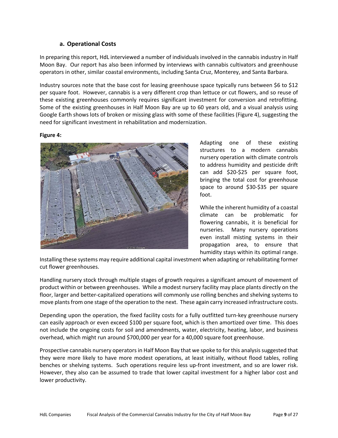# **a. Operational Costs**

In preparing this report, HdL interviewed a number of individuals involved in the cannabis industry in Half Moon Bay. Our report has also been informed by interviews with cannabis cultivators and greenhouse operators in other, similar coastal environments, including Santa Cruz, Monterey, and Santa Barbara.

Industry sources note that the base cost for leasing greenhouse space typically runs between \$6 to \$12 per square foot. However, cannabis is a very different crop than lettuce or cut flowers, and so reuse of these existing greenhouses commonly requires significant investment for conversion and retrofitting. Some of the existing greenhouses in Half Moon Bay are up to 60 years old, and a visual analysis using Google Earth shows lots of broken or missing glass with some of these facilities (Figure 4), suggesting the need for significant investment in rehabilitation and modernization.

#### **Figure 4:**



Adapting one of these existing structures to a modern cannabis nursery operation with climate controls to address humidity and pesticide drift can add \$20‐\$25 per square foot, bringing the total cost for greenhouse space to around \$30-\$35 per square foot.

While the inherent humidity of a coastal climate can be problematic for flowering cannabis, it is beneficial for nurseries. Many nursery operations even install misting systems in their propagation area, to ensure that humidity stays within its optimal range.

Installing these systems may require additional capital investment when adapting or rehabilitating former cut flower greenhouses.

Handling nursery stock through multiple stages of growth requires a significant amount of movement of product within or between greenhouses. While a modest nursery facility may place plants directly on the floor, larger and better-capitalized operations will commonly use rolling benches and shelving systems to move plants from one stage of the operation to the next. These again carry increased infrastructure costs.

Depending upon the operation, the fixed facility costs for a fully outfitted turn-key greenhouse nursery can easily approach or even exceed \$100 per square foot, which is then amortized over time. This does not include the ongoing costs for soil and amendments, water, electricity, heating, labor, and business overhead, which might run around \$700,000 per year for a 40,000 square foot greenhouse.

Prospective cannabis nursery operators in Half Moon Bay that we spoke to for this analysis suggested that they were more likely to have more modest operations, at least initially, without flood tables, rolling benches or shelving systems. Such operations require less up-front investment, and so are lower risk. However, they also can be assumed to trade that lower capital investment for a higher labor cost and lower productivity.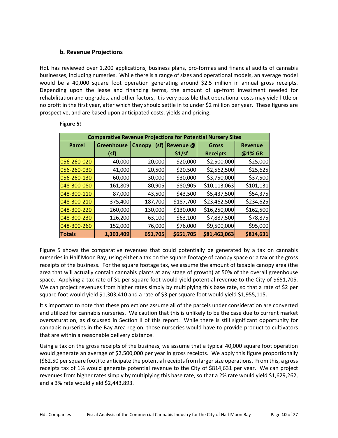# **b. Revenue Projections**

HdL has reviewed over 1,200 applications, business plans, pro-formas and financial audits of cannabis businesses, including nurseries. While there is a range of sizes and operational models, an average model would be a 40,000 square foot operation generating around \$2.5 million in annual gross receipts. Depending upon the lease and financing terms, the amount of up-front investment needed for rehabilitation and upgrades, and other factors, it is very possible that operational costs may yield little or no profit in the first year, after which they should settle in to under \$2 million per year. These figures are prospective, and are based upon anticipated costs, yields and pricing.

| <b>Comparative Revenue Projections for Potential Nursery Sites</b> |                   |                       |           |                 |                |  |  |  |
|--------------------------------------------------------------------|-------------------|-----------------------|-----------|-----------------|----------------|--|--|--|
| <b>Parcel</b>                                                      | <b>Greenhouse</b> | (sf)<br><b>Canopy</b> | Revenue @ | <b>Gross</b>    | <b>Revenue</b> |  |  |  |
|                                                                    | (sf)              |                       | \$1/sf    | <b>Receipts</b> | @1% GR         |  |  |  |
| 056-260-020                                                        | 40,000            | 20,000                | \$20,000  | \$2,500,000     | \$25,000       |  |  |  |
| 056-260-030                                                        | 41,000            | 20,500                | \$20,500  | \$2,562,500     | \$25,625       |  |  |  |
| 056-260-130                                                        | 60,000            | 30,000                | \$30,000  | \$3,750,000     | \$37,500       |  |  |  |
| 048-300-080                                                        | 161,809           | 80,905                | \$80,905  | \$10,113,063    | \$101,131      |  |  |  |
| 048-300-110                                                        | 87,000            | 43,500                | \$43,500  | \$5,437,500     | \$54,375       |  |  |  |
| 048-300-210                                                        | 375,400           | 187,700               | \$187,700 | \$23,462,500    | \$234,625      |  |  |  |
| 048-300-220                                                        | 260,000           | 130,000               | \$130,000 | \$16,250,000    | \$162,500      |  |  |  |
| 048-300-230                                                        | 126,200           | 63,100                | \$63,100  | \$7,887,500     | \$78,875       |  |  |  |
| 048-300-260                                                        | 152,000           | 76,000                | \$76,000  | \$9,500,000     | \$95,000       |  |  |  |
| <b>Totals</b>                                                      | 1,303,409         | 651,705               | \$651,705 | \$81,463,063    | \$814,631      |  |  |  |

#### **Figure 5:**

Figure 5 shows the comparative revenues that could potentially be generated by a tax on cannabis nurseries in Half Moon Bay, using either a tax on the square footage of canopy space or a tax or the gross receipts of the business. For the square footage tax, we assume the amount of taxable canopy area (the area that will actually contain cannabis plants at any stage of growth) at 50% of the overall greenhouse space. Applying a tax rate of \$1 per square foot would yield potential revenue to the City of \$651,705. We can project revenues from higher rates simply by multiplying this base rate, so that a rate of \$2 per square foot would yield \$1,303,410 and a rate of \$3 per square foot would yield \$1,955,115.

It's important to note that these projections assume all of the parcels under consideration are converted and utilized for cannabis nurseries. We caution that this is unlikely to be the case due to current market oversaturation, as discussed in Section II of this report. While there is still significant opportunity for cannabis nurseries in the Bay Area region, those nurseries would have to provide product to cultivators that are within a reasonable delivery distance.

Using a tax on the gross receipts of the business, we assume that a typical 40,000 square foot operation would generate an average of \$2,500,000 per year in gross receipts. We apply this figure proportionally (\$62.50 per square foot) to anticipate the potential receipts from larger size operations. From this, a gross receipts tax of 1% would generate potential revenue to the City of \$814,631 per year. We can project revenues from higher rates simply by multiplying this base rate, so that a 2% rate would yield \$1,629,262, and a 3% rate would yield \$2,443,893.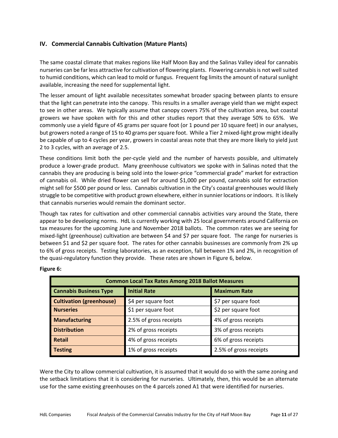# **IV. Commercial Cannabis Cultivation (Mature Plants)**

The same coastal climate that makes regions like Half Moon Bay and the Salinas Valley ideal for cannabis nurseries can be far less attractive for cultivation of flowering plants. Flowering cannabis is not well suited to humid conditions, which can lead to mold or fungus. Frequent fog limits the amount of natural sunlight available, increasing the need for supplemental light.

The lesser amount of light available necessitates somewhat broader spacing between plants to ensure that the light can penetrate into the canopy. This results in a smaller average yield than we might expect to see in other areas. We typically assume that canopy covers 75% of the cultivation area, but coastal growers we have spoken with for this and other studies report that they average 50% to 65%. We commonly use a yield figure of 45 grams per square foot (or 1 pound per 10 square feet) in our analyses, but growers noted a range of 15 to 40 grams per square foot. While a Tier 2 mixed‐light grow might ideally be capable of up to 4 cycles per year, growers in coastal areas note that they are more likely to yield just 2 to 3 cycles, with an average of 2.5.

These conditions limit both the per-cycle yield and the number of harvests possible, and ultimately produce a lower‐grade product. Many greenhouse cultivators we spoke with in Salinas noted that the cannabis they are producing is being sold into the lower-price "commercial grade" market for extraction of cannabis oil. While dried flower can sell for around \$1,000 per pound, cannabis sold for extraction might sell for \$500 per pound or less. Cannabis cultivation in the City's coastal greenhouses would likely struggle to be competitive with product grown elsewhere, either in sunnier locations or indoors. It is likely that cannabis nurseries would remain the dominant sector.

Though tax rates for cultivation and other commercial cannabis activities vary around the State, there appear to be developing norms. HdL is currently working with 25 local governments around California on tax measures for the upcoming June and November 2018 ballots. The common rates we are seeing for mixed‐light (greenhouse) cultivation are between \$4 and \$7 per square foot. The range for nurseries is between \$1 and \$2 per square foot. The rates for other cannabis businesses are commonly from 2% up to 6% of gross receipts. Testing laboratories, as an exception, fall between 1% and 2%, in recognition of the quasi-regulatory function they provide. These rates are shown in Figure 6, below.

| <b>Common Local Tax Rates Among 2018 Ballot Measures</b>            |                        |                        |  |  |  |  |
|---------------------------------------------------------------------|------------------------|------------------------|--|--|--|--|
| <b>Cannabis Business Type</b>                                       | <b>Initial Rate</b>    | <b>Maximum Rate</b>    |  |  |  |  |
| <b>Cultivation (greenhouse)</b>                                     | \$4 per square foot    | \$7 per square foot    |  |  |  |  |
| <b>Nurseries</b>                                                    | \$1 per square foot    | \$2 per square foot    |  |  |  |  |
| <b>Manufacturing</b>                                                | 2.5% of gross receipts | 4% of gross receipts   |  |  |  |  |
| <b>Distribution</b><br>3% of gross receipts<br>2% of gross receipts |                        |                        |  |  |  |  |
| <b>Retail</b>                                                       | 4% of gross receipts   | 6% of gross receipts   |  |  |  |  |
| <b>Testing</b>                                                      | 1% of gross receipts   | 2.5% of gross receipts |  |  |  |  |

# **Figure 6:**

Were the City to allow commercial cultivation, it is assumed that it would do so with the same zoning and the setback limitations that it is considering for nurseries. Ultimately, then, this would be an alternate use for the same existing greenhouses on the 4 parcels zoned A1 that were identified for nurseries.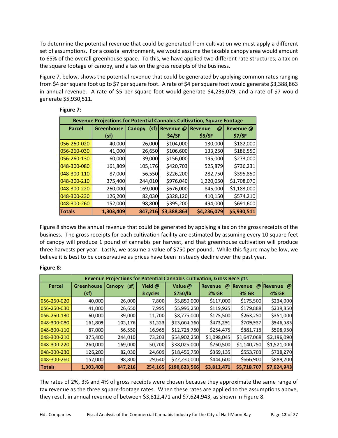To determine the potential revenue that could be generated from cultivation we must apply a different set of assumptions. For a coastal environment, we would assume the taxable canopy area would amount to 65% of the overall greenhouse space. To this, we have applied two different rate structures; a tax on the square footage of canopy, and a tax on the gross receipts of the business.

Figure 7, below, shows the potential revenue that could be generated by applying common rates ranging from \$4 per square foot up to \$7 per square foot. A rate of \$4 per square foot would generate \$3,388,863 in annual revenue. A rate of \$5 per square foot would generate \$4,236,079, and a rate of \$7 would generate \$5,930,511.

| Revenue Projections for Potential Cannabis Cultivation, Square Footage |                   |                       |             |                            |             |  |  |  |
|------------------------------------------------------------------------|-------------------|-----------------------|-------------|----------------------------|-------------|--|--|--|
| <b>Parcel</b>                                                          | <b>Greenhouse</b> | <b>Canopy</b><br>(sf) | Revenue @   | <b>Revenue</b><br>$\omega$ | Revenue @   |  |  |  |
|                                                                        | (sf)              |                       | \$4/SF      | \$5/SF                     | \$7/SF      |  |  |  |
| 056-260-020                                                            | 40,000            | 26,000                | \$104,000   | 130,000                    | \$182,000   |  |  |  |
| 056-260-030                                                            | 41,000            | 26,650                | \$106,600   | 133,250                    | \$186,550   |  |  |  |
| 056-260-130                                                            | 60,000            | 39,000                | \$156,000   | 195,000                    | \$273,000   |  |  |  |
| 048-300-080                                                            | 161,809           | 105,176               | \$420,703   | 525,879                    | \$736,231   |  |  |  |
| 048-300-110                                                            | 87,000            | 56,550                | \$226,200   | 282,750                    | \$395,850   |  |  |  |
| 048-300-210                                                            | 375,400           | 244,010               | \$976,040   | 1,220,050                  | \$1,708,070 |  |  |  |
| 048-300-220                                                            | 260,000           | 169,000               | \$676,000   | 845,000                    | \$1,183,000 |  |  |  |
| 048-300-230                                                            | 126,200           | 82,030                | \$328,120   | 410,150                    | \$574,210   |  |  |  |
| 048-300-260                                                            | 152,000           | 98,800                | \$395,200   | 494,000                    | \$691,600   |  |  |  |
| <b>Totals</b>                                                          | 1,303,409         | 847,216               | \$3,388,863 | \$4,236,079                | \$5,930,511 |  |  |  |

Figure 8 shows the annual revenue that could be generated by applying a tax on the gross receipts of the business. The gross receipts for each cultivation facility are estimated by assuming every 10 square feet of canopy will produce 1 pound of cannabis per harvest, and that greenhouse cultivation will produce three harvests per year. Lastly, we assume a value of \$750 per pound. While this figure may be low, we believe it is best to be conservative as prices have been in steady decline over the past year.

#### **Figure 8:**

| Revenue Projections for Potential Cannabis Cultivation, Gross Receipts |                   |                       |          |               |                     |                     |             |  |
|------------------------------------------------------------------------|-------------------|-----------------------|----------|---------------|---------------------|---------------------|-------------|--|
| <b>Parcel</b>                                                          | <b>Greenhouse</b> | (sf)<br><b>Canopy</b> | Yield @  | Value @       | <b>Revenue</b><br>@ | <b>Revenue</b><br>@ | Revenue @   |  |
|                                                                        | (sf)              |                       | 3 cycles | \$750/lb      | <b>2% GR</b>        | <b>3% GR</b>        | 4% GR       |  |
| 056-260-020                                                            | 40,000            | 26,000                | 7,800    | \$5,850,000   | \$117,000           | \$175,500           | \$234,000   |  |
| 056-260-030                                                            | 41,000            | 26,650                | 7,995    | \$5,996,250   | \$119,925           | \$179,888           | \$239,850   |  |
| 056-260-130                                                            | 60,000            | 39,000                | 11,700   | \$8,775,000   | \$175,500           | \$263,250           | \$351,000   |  |
| 048-300-080                                                            | 161,809           | 105,176               | 31,553   | \$23,664,566  | \$473,291           | \$709,937           | \$946,583   |  |
| 048-300-110                                                            | 87,000            | 56,550                | 16,965   | \$12,723,750  | \$254,475           | \$381,713           | \$508,950   |  |
| 048-300-210                                                            | 375,400           | 244,010               | 73,203   | \$54,902,250  | \$1,098,045         | \$1,647,068         | \$2,196,090 |  |
| 048-300-220                                                            | 260,000           | 169,000               | 50,700   | \$38,025,000  | \$760,500           | \$1,140,750         | \$1,521,000 |  |
| 048-300-230                                                            | 126,200           | 82,030                | 24,609   | \$18,456,750  | \$369,135           | \$553,703           | \$738,270   |  |
| 048-300-260                                                            | 152,000           | 98,800                | 29,640   | \$22,230,000  | \$444,600           | \$666,900           | \$889,200   |  |
| <b>Totals</b>                                                          | 1,303,409         | 847,216               | 254,165  | \$190,623,566 | \$3,812,471         | \$5,718,707         | \$7,624,943 |  |

The rates of 2%, 3% and 4% of gross receipts were chosen because they approximate the same range of tax revenue as the three square‐footage rates. When these rates are applied to the assumptions above, they result in annual revenue of between \$3,812,471 and \$7,624,943, as shown in Figure 8.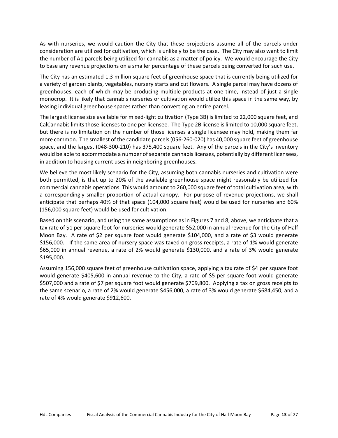As with nurseries, we would caution the City that these projections assume all of the parcels under consideration are utilized for cultivation, which is unlikely to be the case. The City may also want to limit the number of A1 parcels being utilized for cannabis as a matter of policy. We would encourage the City to base any revenue projections on a smaller percentage of these parcels being converted for such use.

The City has an estimated 1.3 million square feet of greenhouse space that is currently being utilized for a variety of garden plants, vegetables, nursery starts and cut flowers. A single parcel may have dozens of greenhouses, each of which may be producing multiple products at one time, instead of just a single monocrop. It is likely that cannabis nurseries or cultivation would utilize this space in the same way, by leasing individual greenhouse spaces rather than converting an entire parcel.

The largest license size available for mixed-light cultivation (Type 3B) is limited to 22,000 square feet, and CalCannabis limits those licenses to one per licensee. The Type 2B license is limited to 10,000 square feet, but there is no limitation on the number of those licenses a single licensee may hold, making them far more common. The smallest of the candidate parcels (056‐260‐020) has 40,000 square feet of greenhouse space, and the largest (048‐300‐210) has 375,400 square feet. Any of the parcels in the City's inventory would be able to accommodate a number of separate cannabis licenses, potentially by different licensees, in addition to housing current uses in neighboring greenhouses.

We believe the most likely scenario for the City, assuming both cannabis nurseries and cultivation were both permitted, is that up to 20% of the available greenhouse space might reasonably be utilized for commercial cannabis operations. This would amount to 260,000 square feet of total cultivation area, with a correspondingly smaller proportion of actual canopy. For purpose of revenue projections, we shall anticipate that perhaps 40% of that space (104,000 square feet) would be used for nurseries and 60% (156,000 square feet) would be used for cultivation.

Based on this scenario, and using the same assumptions as in Figures 7 and 8, above, we anticipate that a tax rate of \$1 per square foot for nurseries would generate \$52,000 in annual revenue for the City of Half Moon Bay. A rate of \$2 per square foot would generate \$104,000, and a rate of \$3 would generate \$156,000. If the same area of nursery space was taxed on gross receipts, a rate of 1% would generate \$65,000 in annual revenue, a rate of 2% would generate \$130,000, and a rate of 3% would generate \$195,000.

Assuming 156,000 square feet of greenhouse cultivation space, applying a tax rate of \$4 per square foot would generate \$405,600 in annual revenue to the City, a rate of \$5 per square foot would generate \$507,000 and a rate of \$7 per square foot would generate \$709,800. Applying a tax on gross receipts to the same scenario, a rate of 2% would generate \$456,000, a rate of 3% would generate \$684,450, and a rate of 4% would generate \$912,600.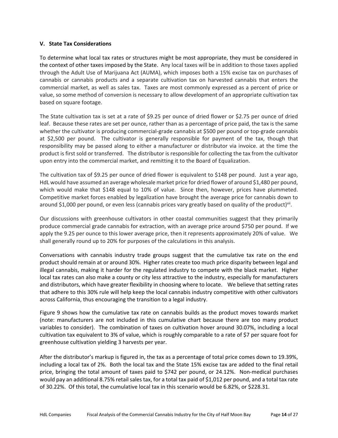#### **V. State Tax Considerations**

To determine what local tax rates or structures might be most appropriate, they must be considered in the context of other taxes imposed by the State. Any local taxes will be in addition to those taxes applied through the Adult Use of Marijuana Act (AUMA), which imposes both a 15% excise tax on purchases of cannabis or cannabis products and a separate cultivation tax on harvested cannabis that enters the commercial market, as well as sales tax. Taxes are most commonly expressed as a percent of price or value, so some method of conversion is necessary to allow development of an appropriate cultivation tax based on square footage.

The State cultivation tax is set at a rate of \$9.25 per ounce of dried flower or \$2.75 per ounce of dried leaf. Because these rates are set per ounce, rather than as a percentage of price paid, the tax is the same whether the cultivator is producing commercial-grade cannabis at \$500 per pound or top-grade cannabis at \$2,500 per pound. The cultivator is generally responsible for payment of the tax, though that responsibility may be passed along to either a manufacturer or distributor via invoice. at the time the product is first sold or transferred. The distributor is responsible for collecting the tax from the cultivator upon entry into the commercial market, and remitting it to the Board of Equalization.

The cultivation tax of \$9.25 per ounce of dried flower is equivalent to \$148 per pound. Just a year ago, HdL would have assumed an average wholesale market price for dried flower of around \$1,480 per pound, which would make that \$148 equal to 10% of value. Since then, however, prices have plummeted. Competitive market forces enabled by legalization have brought the average price for cannabis down to around \$1,000 per pound, or even less (cannabis prices vary greatly based on quality of the product)<sup>vii</sup>.

Our discussions with greenhouse cultivators in other coastal communities suggest that they primarily produce commercial grade cannabis for extraction, with an average price around \$750 per pound. If we apply the 9.25 per ounce to this lower average price, then it represents approximately 20% of value. We shall generally round up to 20% for purposes of the calculations in this analysis.

Conversations with cannabis industry trade groups suggest that the cumulative tax rate on the end product should remain at or around 30%. Higher rates create too much price disparity between legal and illegal cannabis, making it harder for the regulated industry to compete with the black market. Higher local tax rates can also make a county or city less attractive to the industry, especially for manufacturers and distributors, which have greater flexibility in choosing where to locate. We believe that setting rates that adhere to this 30% rule will help keep the local cannabis industry competitive with other cultivators across California, thus encouraging the transition to a legal industry.

Figure 9 shows how the cumulative tax rate on cannabis builds as the product moves towards market (note: manufacturers are not included in this cumulative chart because there are too many product variables to consider). The combination of taxes on cultivation hover around 30.07%, including a local cultivation tax equivalent to 3% of value, which is roughly comparable to a rate of \$7 per square foot for greenhouse cultivation yielding 3 harvests per year.

After the distributor's markup is figured in, the tax as a percentage of total price comes down to 19.39%, including a local tax of 2%. Both the local tax and the State 15% excise tax are added to the final retail price, bringing the total amount of taxes paid to \$742 per pound, or 24.12%. Non‐medical purchases would pay an additional 8.75% retail sales tax, for a total tax paid of \$1,012 per pound, and a total tax rate of 30.22%. Of this total, the cumulative local tax in this scenario would be 6.82%, or \$228.31.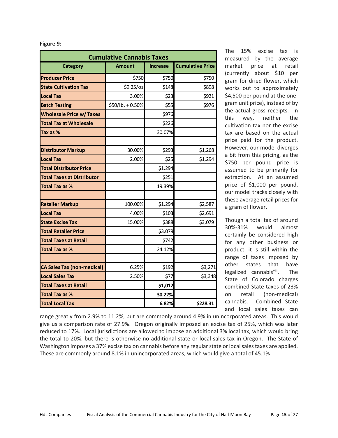| <b>Cumulative Cannabis Taxes</b>  |                 |                 |                         |  |  |  |
|-----------------------------------|-----------------|-----------------|-------------------------|--|--|--|
| Category                          | <b>Amount</b>   | <b>Increase</b> | <b>Cumulative Price</b> |  |  |  |
| <b>Producer Price</b>             | \$750           | \$750           | \$750                   |  |  |  |
| <b>State Cultivation Tax</b>      | \$9.25/oz       | \$148           | \$898                   |  |  |  |
| <b>Local Tax</b>                  | 3.00%           | \$23            | \$921                   |  |  |  |
| <b>Batch Testing</b>              | \$50/lb, +0.50% | \$55            | \$976                   |  |  |  |
| <b>Wholesale Price w/ Taxes</b>   |                 | \$976           |                         |  |  |  |
| <b>Total Tax at Wholesale</b>     |                 | \$226           |                         |  |  |  |
| Tax as %                          |                 | 30.07%          |                         |  |  |  |
|                                   |                 |                 |                         |  |  |  |
| <b>Distributor Markup</b>         | 30.00%          | \$293           | \$1,268                 |  |  |  |
| <b>Local Tax</b>                  | 2.00%           | \$25            | \$1,294                 |  |  |  |
| <b>Total Distributor Price</b>    |                 | \$1,294         |                         |  |  |  |
| <b>Total Taxes at Distributor</b> |                 | \$251           |                         |  |  |  |
| <b>Total Tax as %</b>             |                 | 19.39%          |                         |  |  |  |
|                                   |                 |                 |                         |  |  |  |
| <b>Retailer Markup</b>            | 100.00%         | \$1,294         | \$2,587                 |  |  |  |
| <b>Local Tax</b>                  | 4.00%           | \$103           | \$2,691                 |  |  |  |
| <b>State Excise Tax</b>           | 15.00%          | \$388           | \$3,079                 |  |  |  |
| <b>Total Retailer Price</b>       |                 | \$3,079         |                         |  |  |  |
| <b>Total Taxes at Retail</b>      |                 | \$742           |                         |  |  |  |
| <b>Total Tax as %</b>             |                 | 24.12%          |                         |  |  |  |
|                                   |                 |                 |                         |  |  |  |
| <b>CA Sales Tax (non-medical)</b> | 6.25%           | \$192           | \$3,271                 |  |  |  |
| <b>Local Sales Tax</b>            | 2.50%           | \$77            | \$3,348                 |  |  |  |
| <b>Total Taxes at Retail</b>      |                 | \$1,012         |                         |  |  |  |
| <b>Total Tax as %</b>             |                 | 30.22%          |                         |  |  |  |
| <b>Total Local Tax</b>            |                 | 6.82%           | \$228.31                |  |  |  |

**Figure 9:** 

The 15% excise tax is measured by the average market price at retail (currently about \$10 per gram for dried flower, which works out to approximately \$4,500 per pound at the onegram unit price), instead of by the actual gross receipts. In this way, neither the cultivation tax nor the excise tax are based on the actual price paid for the product. However, our model diverges a bit from this pricing, as the \$750 per pound price is assumed to be primarily for extraction. At an assumed price of \$1,000 per pound, our model tracks closely with these average retail prices for a gram of flower.

Though a total tax of around 30%‐31% would almost certainly be considered high for any other business or product, it is still within the range of taxes imposed by other states that have legalized cannabisvill. The State of Colorado charges combined State taxes of 23% on retail (non‐medical) cannabis. Combined State and local sales taxes can

range greatly from 2.9% to 11.2%, but are commonly around 4.9% in unincorporated areas. This would give us a comparison rate of 27.9%. Oregon originally imposed an excise tax of 25%, which was later reduced to 17%. Local jurisdictions are allowed to impose an additional 3% local tax, which would bring the total to 20%, but there is otherwise no additional state or local sales tax in Oregon. The State of Washington imposes a 37% excise tax on cannabis before any regular state or local sales taxes are applied. These are commonly around 8.1% in unincorporated areas, which would give a total of 45.1%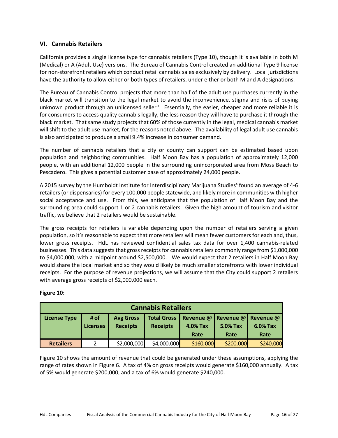# **VI. Cannabis Retailers**

California provides a single license type for cannabis retailers (Type 10), though it is available in both M (Medical) or A (Adult Use) versions. The Bureau of Cannabis Control created an additional Type 9 license for non-storefront retailers which conduct retail cannabis sales exclusively by delivery. Local jurisdictions have the authority to allow either or both types of retailers, under either or both M and A designations.

The Bureau of Cannabis Control projects that more than half of the adult use purchases currently in the black market will transition to the legal market to avoid the inconvenience, stigma and risks of buying unknown product through an unlicensed seller<sup>ix</sup>. Essentially, the easier, cheaper and more reliable it is for consumers to access quality cannabis legally, the less reason they will have to purchase it through the black market. That same study projects that 60% of those currently in the legal, medical cannabis market will shift to the adult use market, for the reasons noted above. The availability of legal adult use cannabis is also anticipated to produce a small 9.4% increase in consumer demand.

The number of cannabis retailers that a city or county can support can be estimated based upon population and neighboring communities. Half Moon Bay has a population of approximately 12,000 people, with an additional 12,000 people in the surrounding unincorporated area from Moss Beach to Pescadero. This gives a potential customer base of approximately 24,000 people.

A 2015 survey by the Humboldt Institute for Interdisciplinary Marijuana Studies<sup>x</sup> found an average of 4-6 retailers (or dispensaries) for every 100,000 people statewide, and likely more in communities with higher social acceptance and use. From this, we anticipate that the population of Half Moon Bay and the surrounding area could support 1 or 2 cannabis retailers. Given the high amount of tourism and visitor traffic, we believe that 2 retailers would be sustainable.

The gross receipts for retailers is variable depending upon the number of retailers serving a given population, so it's reasonable to expect that more retailers will mean fewer customers for each and, thus, lower gross receipts. HdL has reviewed confidential sales tax data for over 1,400 cannabis-related businesses. This data suggests that gross receipts for cannabis retailers commonly range from \$1,000,000 to \$4,000,000, with a midpoint around \$2,500,000. We would expect that 2 retailers in Half Moon Bay would share the local market and so they would likely be much smaller storefronts with lower individual receipts. For the purpose of revenue projections, we will assume that the City could support 2 retailers with average gross receipts of \$2,000,000 each.

| <b>Cannabis Retailers</b>                                                                                                                                                                                    |  |             |             |           |           |           |  |  |
|--------------------------------------------------------------------------------------------------------------------------------------------------------------------------------------------------------------|--|-------------|-------------|-----------|-----------|-----------|--|--|
| Total Gross   Revenue @ Revenue @ Revenue @<br># of<br><b>License Type</b><br><b>Avg Gross</b><br><b>Receipts</b><br><b>Receipts</b><br>5.0% Tax<br>6.0% Tax<br>Licenses<br>4.0% Tax<br>Rate<br>Rate<br>Rate |  |             |             |           |           |           |  |  |
| <b>Retailers</b>                                                                                                                                                                                             |  | \$2,000,000 | \$4,000,000 | \$160,000 | \$200,000 | \$240,000 |  |  |

# **Figure 10:**

Figure 10 shows the amount of revenue that could be generated under these assumptions, applying the range of rates shown in Figure 6. A tax of 4% on gross receipts would generate \$160,000 annually. A tax of 5% would generate \$200,000, and a tax of 6% would generate \$240,000.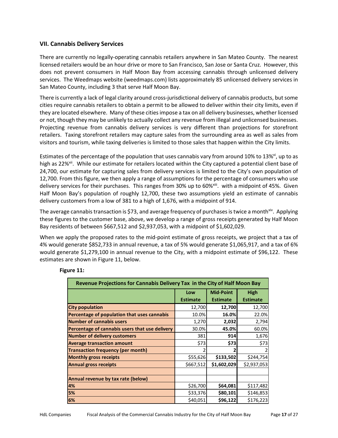# **VII. Cannabis Delivery Services**

There are currently no legally‐operating cannabis retailers anywhere in San Mateo County. The nearest licensed retailers would be an hour drive or more to San Francisco, San Jose or Santa Cruz. However, this does not prevent consumers in Half Moon Bay from accessing cannabis through unlicensed delivery services. The Weedmaps website (weedmaps.com) lists approximately 85 unlicensed delivery services in San Mateo County, including 3 that serve Half Moon Bay.

There is currently a lack of legal clarity around cross-jurisdictional delivery of cannabis products, but some cities require cannabis retailers to obtain a permit to be allowed to deliver within their city limits, even if they are located elsewhere. Many of these cities impose a tax on all delivery businesses, whether licensed or not, though they may be unlikely to actually collect any revenue from illegal and unlicensed businesses. Projecting revenue from cannabis delivery services is very different than projections for storefront retailers. Taxing storefront retailers may capture sales from the surrounding area as well as sales from visitors and tourism, while taxing deliveries is limited to those sales that happen within the City limits.

Estimates of the percentage of the population that uses cannabis vary from around 10% to 13%<sup>xi</sup>, up to as high as 22%<sup>xii</sup>. While our estimate for retailers located within the City captured a potential client base of 24,700, our estimate for capturing sales from delivery services is limited to the City's own population of 12,700. From this figure, we then apply a range of assumptions for the percentage of consumers who use delivery services for their purchases. This ranges from 30% up to 60%<sup>xiii</sup>. with a midpoint of 45%. Given Half Moon Bay's population of roughly 12,700, these two assumptions yield an estimate of cannabis delivery customers from a low of 381 to a high of 1,676, with a midpoint of 914.

The average cannabis transaction is \$73, and average frequency of purchases is twice a month<sup>xiv</sup>. Applying these figures to the customer base, above, we develop a range of gross receipts generated by Half Moon Bay residents of between \$667,512 and \$2,937,053, with a midpoint of \$1,602,029.

When we apply the proposed rates to the mid-point estimate of gross receipts, we project that a tax of 4% would generate \$852,733 in annual revenue, a tax of 5% would generate \$1,065,917, and a tax of 6% would generate \$1,279,100 in annual revenue to the City, with a midpoint estimate of \$96,122. These estimates are shown in Figure 11, below.

| Revenue Projections for Cannabis Delivery Tax in the City of Half Moon Bay |                        |                                     |                         |  |
|----------------------------------------------------------------------------|------------------------|-------------------------------------|-------------------------|--|
|                                                                            | Low<br><b>Estimate</b> | <b>Mid-Point</b><br><b>Estimate</b> | High<br><b>Estimate</b> |  |
| <b>City population</b>                                                     | 12,700                 | 12,700                              | 12,700                  |  |
| Percentage of population that uses cannabis                                | 10.0%                  | 16.0%                               | 22.0%                   |  |
| <b>Number of cannabis users</b>                                            | 1,270                  | 2,032                               | 2,794                   |  |
| Percentage of cannabis users that use delivery                             | 30.0%                  | 45.0%                               | 60.0%                   |  |
| <b>Number of delivery customers</b>                                        | 381                    | 914                                 | 1,676                   |  |
| <b>Average transaction amount</b>                                          | \$73                   | \$73                                | \$73                    |  |
| <b>Transaction frequency (per month)</b>                                   |                        | 2                                   | 2                       |  |
| <b>Monthly gross receipts</b>                                              | \$55,626               | \$133,502                           | \$244,754               |  |
| <b>Annual gross receipts</b>                                               | \$667,512              | \$1,602,029                         | \$2,937,053             |  |
|                                                                            |                        |                                     |                         |  |
| Annual revenue by tax rate (below)                                         |                        |                                     |                         |  |
| 4%                                                                         | \$26,700               | \$64,081                            | \$117,482               |  |
| 5%                                                                         | \$33,376               | \$80,101                            | \$146,853               |  |
| 6%                                                                         | \$40,051               | \$96,122                            | \$176,223               |  |

#### **Figure 11:**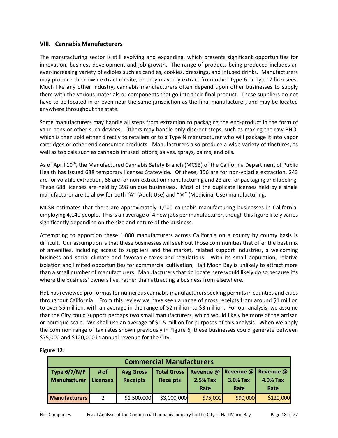# **VIII. Cannabis Manufacturers**

The manufacturing sector is still evolving and expanding, which presents significant opportunities for innovation, business development and job growth. The range of products being produced includes an ever-increasing variety of edibles such as candies, cookies, dressings, and infused drinks. Manufacturers may produce their own extract on site, or they may buy extract from other Type 6 or Type 7 licensees. Much like any other industry, cannabis manufacturers often depend upon other businesses to supply them with the various materials or components that go into their final product. These suppliers do not have to be located in or even near the same jurisdiction as the final manufacturer, and may be located anywhere throughout the state.

Some manufacturers may handle all steps from extraction to packaging the end‐product in the form of vape pens or other such devices. Others may handle only discreet steps, such as making the raw BHO, which is then sold either directly to retailers or to a Type N manufacturer who will package it into vapor cartridges or other end consumer products. Manufacturers also produce a wide variety of tinctures, as well as topicals such as cannabis infused lotions, salves, sprays, balms, and oils.

As of April 10<sup>th</sup>, the Manufactured Cannabis Safety Branch (MCSB) of the California Department of Public Health has issued 688 temporary licenses Statewide. Of these, 356 are for non-volatile extraction, 243 are for volatile extraction, 66 are for non‐extraction manufacturing and 23 are for packaging and labeling. These 688 licenses are held by 398 unique businesses. Most of the duplicate licenses held by a single manufacturer are to allow for both "A" (Adult Use) and "M" (Medicinal Use) manufacturing.

MCSB estimates that there are approximately 1,000 cannabis manufacturing businesses in California, employing 4,140 people. This is an average of 4 new jobs per manufacturer, though this figure likely varies significantly depending on the size and nature of the business.

Attempting to apportion these 1,000 manufacturers across California on a county by county basis is difficult. Our assumption is that these businesses will seek out those communities that offer the best mix of amenities, including access to suppliers and the market, related support industries, a welcoming business and social climate and favorable taxes and regulations. With its small population, relative isolation and limited opportunities for commercial cultivation, Half Moon Bay is unlikely to attract more than a small number of manufacturers. Manufacturers that do locate here would likely do so because it's where the business' owners live, rather than attracting a business from elsewhere.

HdL has reviewed pro‐formas for numerous cannabis manufacturers seeking permits in counties and cities throughout California. From this review we have seen a range of gross receipts from around \$1 million to over \$5 million, with an average in the range of \$2 million to \$3 million. For our analysis, we assume that the City could support perhaps two small manufacturers, which would likely be more of the artisan or boutique scale. We shall use an average of \$1.5 million for purposes of this analysis. When we apply the common range of tax rates shown previously in Figure 6, these businesses could generate between \$75,000 and \$120,000 in annual revenue for the City.

| <b>Commercial Manufacturers</b> |          |                  |                                                 |          |          |           |
|---------------------------------|----------|------------------|-------------------------------------------------|----------|----------|-----------|
| Type $6/7/N/P$                  | # of     | <b>Avg Gross</b> | Total Gross   Revenue @   Revenue @   Revenue @ |          |          |           |
| Manufacturer                    | Licenses | <b>Receipts</b>  | <b>Receipts</b>                                 | 2.5% Tax | 3.0% Tax | 4.0% Tax  |
|                                 |          |                  |                                                 | Rate     | Rate     | Rate      |
| <b>Manufacturers</b>            |          | \$1,500,000      | \$3,000,000                                     | \$75,000 | \$90,000 | \$120,000 |

#### **Figure 12:**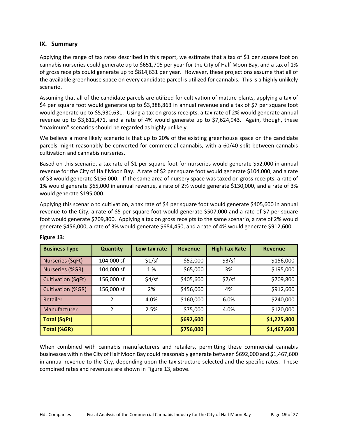# **IX. Summary**

Applying the range of tax rates described in this report, we estimate that a tax of \$1 per square foot on cannabis nurseries could generate up to \$651,705 per year for the City of Half Moon Bay, and a tax of 1% of gross receipts could generate up to \$814,631 per year. However, these projections assume that all of the available greenhouse space on every candidate parcel is utilized for cannabis. This is a highly unlikely scenario.

Assuming that all of the candidate parcels are utilized for cultivation of mature plants, applying a tax of \$4 per square foot would generate up to \$3,388,863 in annual revenue and a tax of \$7 per square foot would generate up to \$5,930,631. Using a tax on gross receipts, a tax rate of 2% would generate annual revenue up to \$3,812,471, and a rate of 4% would generate up to \$7,624,943. Again, though, these "maximum" scenarios should be regarded as highly unlikely.

We believe a more likely scenario is that up to 20% of the existing greenhouse space on the candidate parcels might reasonably be converted for commercial cannabis, with a 60/40 split between cannabis cultivation and cannabis nurseries.

Based on this scenario, a tax rate of \$1 per square foot for nurseries would generate \$52,000 in annual revenue for the City of Half Moon Bay. A rate of \$2 per square foot would generate \$104,000, and a rate of \$3 would generate \$156,000. If the same area of nursery space was taxed on gross receipts, a rate of 1% would generate \$65,000 in annual revenue, a rate of 2% would generate \$130,000, and a rate of 3% would generate \$195,000.

Applying this scenario to cultivation, a tax rate of \$4 per square foot would generate \$405,600 in annual revenue to the City, a rate of \$5 per square foot would generate \$507,000 and a rate of \$7 per square foot would generate \$709,800. Applying a tax on gross receipts to the same scenario, a rate of 2% would generate \$456,000, a rate of 3% would generate \$684,450, and a rate of 4% would generate \$912,600.

| <b>Business Type</b>      | <b>Quantity</b> | Low tax rate | <b>Revenue</b> | <b>High Tax Rate</b> | <b>Revenue</b> |
|---------------------------|-----------------|--------------|----------------|----------------------|----------------|
| Nurseries (SqFt)          | 104,000 sf      | \$1/sf       | \$52,000       | \$3/sf               | \$156,000      |
| Nurseries (%GR)           | 104,000 sf      | 1 %          | \$65,000       | 3%                   | \$195,000      |
| <b>Cultivation (SqFt)</b> | 156,000 sf      | \$4/sf       | \$405,600      | \$7/sf               | \$709,800      |
| Cultivation (%GR)         | 156,000 sf      | 2%           | \$456,000      | 4%                   | \$912,600      |
| Retailer                  | $\mathcal{P}$   | 4.0%         | \$160,000      | 6.0%                 | \$240,000      |
| Manufacturer              | $\mathcal{P}$   | 2.5%         | \$75,000       | 4.0%                 | \$120,000      |
| <b>Total (SqFt)</b>       |                 |              | \$692,600      |                      | \$1,225,800    |
| <b>Total (%GR)</b>        |                 |              | \$756,000      |                      | \$1,467,600    |

# **Figure 13:**

When combined with cannabis manufacturers and retailers, permitting these commercial cannabis businesses within the City of Half Moon Bay could reasonably generate between \$692,000 and \$1,467,600 in annual revenue to the City, depending upon the tax structure selected and the specific rates. These combined rates and revenues are shown in Figure 13, above.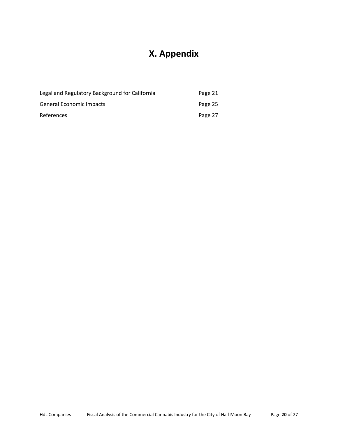# **X. Appendix**

| Legal and Regulatory Background for California | Page 21 |
|------------------------------------------------|---------|
| General Economic Impacts                       | Page 25 |
| <b>References</b>                              | Page 27 |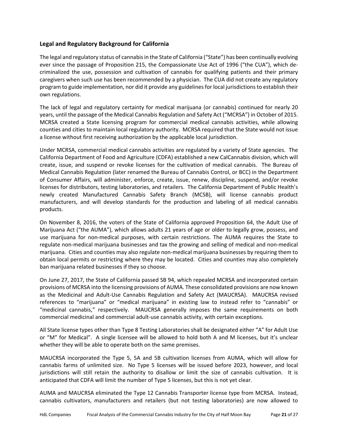# **Legal and Regulatory Background for California**

The legal and regulatory status of cannabis in the State of California ("State") has been continually evolving ever since the passage of Proposition 215, the Compassionate Use Act of 1996 ("the CUA"), which de‐ criminalized the use, possession and cultivation of cannabis for qualifying patients and their primary caregivers when such use has been recommended by a physician. The CUA did not create any regulatory program to guide implementation, nor did it provide any guidelines for local jurisdictions to establish their own regulations.

The lack of legal and regulatory certainty for medical marijuana (or cannabis) continued for nearly 20 years, until the passage of the Medical Cannabis Regulation and Safety Act ("MCRSA") in October of 2015. MCRSA created a State licensing program for commercial medical cannabis activities, while allowing counties and cities to maintain local regulatory authority. MCRSA required that the State would not issue a license without first receiving authorization by the applicable local jurisdiction.

Under MCRSA, commercial medical cannabis activities are regulated by a variety of State agencies. The California Department of Food and Agriculture (CDFA) established a new CalCannabis division, which will create, issue, and suspend or revoke licenses for the cultivation of medical cannabis. The Bureau of Medical Cannabis Regulation (later renamed the Bureau of Cannabis Control, or BCC) in the Department of Consumer Affairs, will administer, enforce, create, issue, renew, discipline, suspend, and/or revoke licenses for distributors, testing laboratories, and retailers. The California Department of Public Health's newly created Manufactured Cannabis Safety Branch (MCSB), will license cannabis product manufacturers, and will develop standards for the production and labeling of all medical cannabis products.

On November 8, 2016, the voters of the State of California approved Proposition 64, the Adult Use of Marijuana Act ("the AUMA"), which allows adults 21 years of age or older to legally grow, possess, and use marijuana for non‐medical purposes, with certain restrictions. The AUMA requires the State to regulate non‐medical marijuana businesses and tax the growing and selling of medical and non‐medical marijuana. Cities and counties may also regulate non‐medical marijuana businesses by requiring them to obtain local permits or restricting where they may be located. Cities and counties may also completely ban marijuana related businesses if they so choose.

On June 27, 2017, the State of California passed SB 94, which repealed MCRSA and incorporated certain provisions of MCRSA into the licensing provisions of AUMA. These consolidated provisions are now known as the Medicinal and Adult-Use Cannabis Regulation and Safety Act (MAUCRSA). MAUCRSA revised references to "marijuana" or "medical marijuana" in existing law to instead refer to "cannabis" or "medicinal cannabis," respectively. MAUCRSA generally imposes the same requirements on both commercial medicinal and commercial adult‐use cannabis activity, with certain exceptions.

All State license types other than Type 8 Testing Laboratories shall be designated either "A" for Adult Use or "M" for Medical". A single licensee will be allowed to hold both A and M licenses, but it's unclear whether they will be able to operate both on the same premises.

MAUCRSA incorporated the Type 5, 5A and 5B cultivation licenses from AUMA, which will allow for cannabis farms of unlimited size. No Type 5 licenses will be issued before 2023, however, and local jurisdictions will still retain the authority to disallow or limit the size of cannabis cultivation. It is anticipated that CDFA will limit the number of Type 5 licenses, but this is not yet clear.

AUMA and MAUCRSA eliminated the Type 12 Cannabis Transporter license type from MCRSA. Instead, cannabis cultivators, manufacturers and retailers (but not testing laboratories) are now allowed to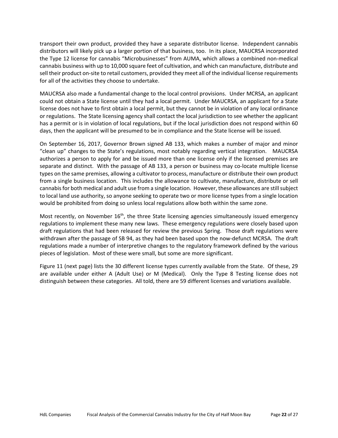transport their own product, provided they have a separate distributor license. Independent cannabis distributors will likely pick up a larger portion of that business, too. In its place, MAUCRSA incorporated the Type 12 license for cannabis "Microbusinesses" from AUMA, which allows a combined non‐medical cannabis business with up to 10,000 square feet of cultivation, and which can manufacture, distribute and sell their product on‐site to retail customers, provided they meet all of the individual license requirements for all of the activities they choose to undertake.

MAUCRSA also made a fundamental change to the local control provisions. Under MCRSA, an applicant could not obtain a State license until they had a local permit. Under MAUCRSA, an applicant for a State license does not have to first obtain a local permit, but they cannot be in violation of any local ordinance or regulations. The State licensing agency shall contact the local jurisdiction to see whether the applicant has a permit or is in violation of local regulations, but if the local jurisdiction does not respond within 60 days, then the applicant will be presumed to be in compliance and the State license will be issued.

On September 16, 2017, Governor Brown signed AB 133, which makes a number of major and minor "clean up" changes to the State's regulations, most notably regarding vertical integration. MAUCRSA authorizes a person to apply for and be issued more than one license only if the licensed premises are separate and distinct. With the passage of AB 133, a person or business may co-locate multiple license types on the same premises, allowing a cultivator to process, manufacture or distribute their own product from a single business location. This includes the allowance to cultivate, manufacture, distribute or sell cannabis for both medical and adult use from a single location. However, these allowances are still subject to local land use authority, so anyone seeking to operate two or more license types from a single location would be prohibited from doing so unless local regulations allow both within the same zone.

Most recently, on November 16<sup>th</sup>, the three State licensing agencies simultaneously issued emergency regulations to implement these many new laws. These emergency regulations were closely based upon draft regulations that had been released for review the previous Spring. Those draft regulations were withdrawn after the passage of SB 94, as they had been based upon the now-defunct MCRSA. The draft regulations made a number of interpretive changes to the regulatory framework defined by the various pieces of legislation. Most of these were small, but some are more significant.

Figure 11 (next page) lists the 30 different license types currently available from the State. Of these, 29 are available under either A (Adult Use) or M (Medical). Only the Type 8 Testing license does not distinguish between these categories. All told, there are 59 different licenses and variations available.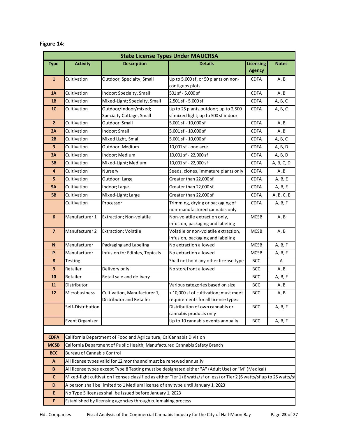| <b>State License Types Under MAUCRSA</b> |                                                                                                                          |                                                          |                                                                             |               |              |  |  |  |
|------------------------------------------|--------------------------------------------------------------------------------------------------------------------------|----------------------------------------------------------|-----------------------------------------------------------------------------|---------------|--------------|--|--|--|
| <b>Type</b>                              | <b>Activity</b>                                                                                                          | <b>Description</b>                                       | <b>Licensing</b><br><b>Details</b>                                          |               | <b>Notes</b> |  |  |  |
|                                          |                                                                                                                          |                                                          |                                                                             | <b>Agency</b> |              |  |  |  |
| $\mathbf{1}$                             | Cultivation                                                                                                              | Outdoor; Specialty, Small                                | Up to 5,000 sf, or 50 plants on non-                                        | <b>CDFA</b>   | A, B         |  |  |  |
|                                          |                                                                                                                          |                                                          | contiguos plots                                                             |               |              |  |  |  |
| <b>1A</b>                                | Cultivation                                                                                                              | Indoor; Specialty, Small                                 | 501 sf - 5,000 sf                                                           | <b>CDFA</b>   | A, B         |  |  |  |
| 1B                                       | Cultivation                                                                                                              | Mixed-Light; Specialty, Small                            | 2,501 sf - 5,000 sf                                                         | <b>CDFA</b>   | A, B, C      |  |  |  |
| 1 <sub>C</sub>                           | Cultivation                                                                                                              | Outdoor/indoor/mixed;<br>Specialty Cottage, Small        | Up to 25 plants outdoor; up to 2,500<br>sf mixed light; up to 500 sf indoor | <b>CDFA</b>   | A, B, C      |  |  |  |
| $\overline{2}$                           | Cultivation                                                                                                              | Outdoor; Small                                           | 5,001 sf - 10,000 sf                                                        | <b>CDFA</b>   | A, B         |  |  |  |
| 2A                                       | Cultivation                                                                                                              | Indoor; Small                                            | 5,001 sf - 10,000 sf                                                        | <b>CDFA</b>   | A, B         |  |  |  |
| 2B                                       | Cultivation                                                                                                              | Mixed Light, Small                                       | 5,001 sf - 10,000 sf                                                        | <b>CDFA</b>   | A, B, C      |  |  |  |
| $\overline{\mathbf{3}}$                  | Cultivation                                                                                                              | Outdoor; Medium                                          | 10,001 sf - one acre                                                        | <b>CDFA</b>   | A, B, D      |  |  |  |
| 3A                                       | Cultivation                                                                                                              | Indoor; Medium                                           | 10,001 sf - 22,000 sf                                                       | <b>CDFA</b>   | A, B, D      |  |  |  |
| 3B                                       | Cultivation                                                                                                              | Mixed-Light; Medium                                      | 10,001 sf - 22,000 sf                                                       | <b>CDFA</b>   | A, B, C, D   |  |  |  |
| 4                                        | Cultivation                                                                                                              | Nursery                                                  | Seeds, clones, immature plants only                                         | <b>CDFA</b>   | A, B         |  |  |  |
| 5                                        | Cultivation                                                                                                              | Outdoor; Large                                           | Greater than 22,000 sf                                                      | <b>CDFA</b>   | A, B, E      |  |  |  |
| <b>5A</b>                                | Cultivation                                                                                                              | Indoor; Large                                            | Greater than 22,000 sf                                                      | <b>CDFA</b>   | A, B, E      |  |  |  |
| <b>5B</b>                                | Cultivation                                                                                                              | Mixed-Light; Large                                       | Greater than 22,000 sf                                                      | <b>CDFA</b>   | A, B, C, E   |  |  |  |
|                                          | Cultivation                                                                                                              | Processor                                                | Trimming, drying or packaging of<br>non-manufactured cannabis only          | <b>CDFA</b>   | A, B, F      |  |  |  |
| 6                                        | Manufacturer 1                                                                                                           | Extraction; Non-volatile                                 | Non-volatile extraction only,<br>infusion, packaging and labeling           | <b>MCSB</b>   | A, B         |  |  |  |
| $\overline{7}$                           | Manufacturer 2                                                                                                           | <b>Extraction; Volatile</b>                              | Volatile or non-volatile extraction,<br>infusion, packaging and labeling    | <b>MCSB</b>   | A, B         |  |  |  |
| $\mathbf N$                              | Manufacturer                                                                                                             | Packaging and Labeling                                   | No extraction allowed                                                       | <b>MCSB</b>   | A, B, F      |  |  |  |
| P                                        | Manufacturer                                                                                                             | Infusion for Edibles, Topicals                           | No extraction allowed                                                       | <b>MCSB</b>   | A, B, F      |  |  |  |
| 8                                        | Testing                                                                                                                  |                                                          | Shall not hold any other license type                                       | <b>BCC</b>    | Α            |  |  |  |
| $\boldsymbol{9}$                         | Retailer                                                                                                                 | Delivery only                                            | No storefront allowed                                                       | <b>BCC</b>    | A, B         |  |  |  |
| 10                                       | Retailer                                                                                                                 | Retail sale and delivery                                 |                                                                             | <b>BCC</b>    | A, B, F      |  |  |  |
| 11                                       | Distributor                                                                                                              |                                                          | Various categories based on size                                            | <b>BCC</b>    | A, B         |  |  |  |
| 12                                       | Microbusiness                                                                                                            | Cultivation, Manufacturer 1,<br>Distributor and Retailer | < 10,000 sf of cultivation; must meet<br>requirements for all license types | <b>BCC</b>    | A, B         |  |  |  |
|                                          | Self-Distribution                                                                                                        |                                                          | Distribution of own cannabis or<br>cannabis products only                   | <b>BCC</b>    | A, B, F      |  |  |  |
|                                          | Event Organizer                                                                                                          |                                                          | Up to 10 cannabis events annually                                           | <b>BCC</b>    | A, B, F      |  |  |  |
|                                          |                                                                                                                          |                                                          |                                                                             |               |              |  |  |  |
| <b>CDFA</b>                              | California Department of Food and Agriculture, CalCannabis Division                                                      |                                                          |                                                                             |               |              |  |  |  |
| <b>MCSB</b>                              | Calfornia Department of Public Health, Manufactured Cannabis Safety Branch                                               |                                                          |                                                                             |               |              |  |  |  |
| <b>BCC</b>                               | <b>Bureau of Cannabis Control</b>                                                                                        |                                                          |                                                                             |               |              |  |  |  |
| A                                        | All license types valid for 12 months and must be renewed annually                                                       |                                                          |                                                                             |               |              |  |  |  |
| $\, {\bf B}$                             | All license types except Type 8 Testing must be designated either "A" (Adult Use) or "M" (Medical)                       |                                                          |                                                                             |               |              |  |  |  |
| C                                        | Mixed-light cultivation licenses classified as either Tier 1 (6 watts/sf or less) or Tier 2 (6 watts/sf up to 25 watts/s |                                                          |                                                                             |               |              |  |  |  |
| D                                        | A person shall be limited to 1 Medium license of any type until January 1, 2023                                          |                                                          |                                                                             |               |              |  |  |  |
| E                                        | No Type 5 licenses shall be issued before January 1, 2023                                                                |                                                          |                                                                             |               |              |  |  |  |
| F                                        | Established by licensing agencies through rulemaking process                                                             |                                                          |                                                                             |               |              |  |  |  |

# **Figure 14:**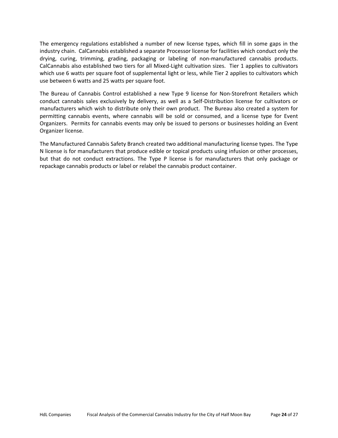The emergency regulations established a number of new license types, which fill in some gaps in the industry chain. CalCannabis established a separate Processor license for facilities which conduct only the drying, curing, trimming, grading, packaging or labeling of non‐manufactured cannabis products. CalCannabis also established two tiers for all Mixed‐Light cultivation sizes. Tier 1 applies to cultivators which use 6 watts per square foot of supplemental light or less, while Tier 2 applies to cultivators which use between 6 watts and 25 watts per square foot.

The Bureau of Cannabis Control established a new Type 9 license for Non-Storefront Retailers which conduct cannabis sales exclusively by delivery, as well as a Self‐Distribution license for cultivators or manufacturers which wish to distribute only their own product. The Bureau also created a system for permitting cannabis events, where cannabis will be sold or consumed, and a license type for Event Organizers. Permits for cannabis events may only be issued to persons or businesses holding an Event Organizer license.

The Manufactured Cannabis Safety Branch created two additional manufacturing license types. The Type N license is for manufacturers that produce edible or topical products using infusion or other processes, but that do not conduct extractions. The Type P license is for manufacturers that only package or repackage cannabis products or label or relabel the cannabis product container.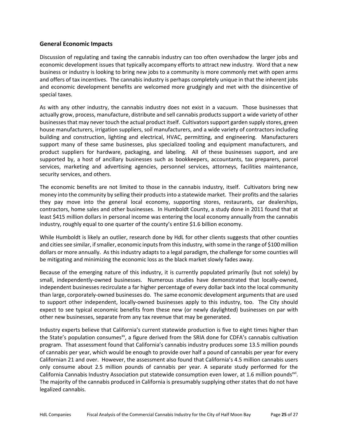# **General Economic Impacts**

Discussion of regulating and taxing the cannabis industry can too often overshadow the larger jobs and economic development issues that typically accompany efforts to attract new industry. Word that a new business or industry is looking to bring new jobs to a community is more commonly met with open arms and offers of tax incentives. The cannabis industry is perhaps completely unique in that the inherent jobs and economic development benefits are welcomed more grudgingly and met with the disincentive of special taxes.

As with any other industry, the cannabis industry does not exist in a vacuum. Those businesses that actually grow, process, manufacture, distribute and sell cannabis products support a wide variety of other businesses that may never touch the actual product itself. Cultivators support garden supply stores, green house manufacturers, irrigation suppliers, soil manufacturers, and a wide variety of contractors including building and construction, lighting and electrical, HVAC, permitting, and engineering. Manufacturers support many of these same businesses, plus specialized tooling and equipment manufacturers, and product suppliers for hardware, packaging, and labeling. All of these businesses support, and are supported by, a host of ancillary businesses such as bookkeepers, accountants, tax preparers, parcel services, marketing and advertising agencies, personnel services, attorneys, facilities maintenance, security services, and others.

The economic benefits are not limited to those in the cannabis industry, itself. Cultivators bring new money into the community by selling their products into a statewide market. Their profits and the salaries they pay move into the general local economy, supporting stores, restaurants, car dealerships, contractors, home sales and other businesses. In Humboldt County, a study done in 2011 found that at least \$415 million dollars in personal income was entering the local economy annually from the cannabis industry, roughly equal to one quarter of the county's entire \$1.6 billion economy.

While Humboldt is likely an outlier, research done by HdL for other clients suggests that other counties and cities see similar, if smaller, economic inputs from this industry, with some in the range of \$100 million dollars or more annually. As this industry adapts to a legal paradigm, the challenge for some counties will be mitigating and minimizing the economic loss as the black market slowly fades away.

Because of the emerging nature of this industry, it is currently populated primarily (but not solely) by small, independently-owned businesses. Numerous studies have demonstrated that locally-owned, independent businesses recirculate a far higher percentage of every dollar back into the local community than large, corporately‐owned businesses do. The same economic development arguments that are used to support other independent, locally-owned businesses apply to this industry, too. The City should expect to see typical economic benefits from these new (or newly daylighted) businesses on par with other new businesses, separate from any tax revenue that may be generated.

Industry experts believe that California's current statewide production is five to eight times higher than the State's population consumes<sup>xy</sup>, a figure derived from the SRIA done for CDFA's cannabis cultivation program. That assessment found that California's cannabis industry produces some 13.5 million pounds of cannabis per year, which would be enough to provide over half a pound of cannabis per year for every Californian 21 and over. However, the assessment also found that California's 4.5 million cannabis users only consume about 2.5 million pounds of cannabis per year. A separate study performed for the California Cannabis Industry Association put statewide consumption even lower, at 1.6 million pounds<sup>xvi</sup>. The majority of the cannabis produced in California is presumably supplying other states that do not have legalized cannabis.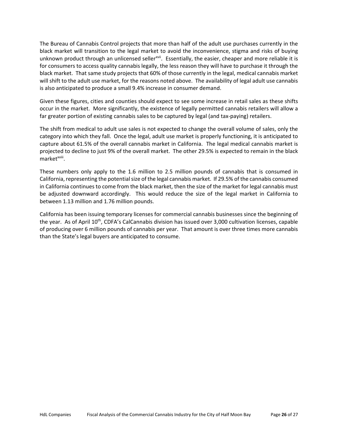The Bureau of Cannabis Control projects that more than half of the adult use purchases currently in the black market will transition to the legal market to avoid the inconvenience, stigma and risks of buying unknown product through an unlicensed seller<sup>xvii</sup>. Essentially, the easier, cheaper and more reliable it is for consumers to access quality cannabis legally, the less reason they will have to purchase it through the black market. That same study projects that 60% of those currently in the legal, medical cannabis market will shift to the adult use market, for the reasons noted above. The availability of legal adult use cannabis is also anticipated to produce a small 9.4% increase in consumer demand.

Given these figures, cities and counties should expect to see some increase in retail sales as these shifts occur in the market. More significantly, the existence of legally permitted cannabis retailers will allow a far greater portion of existing cannabis sales to be captured by legal (and tax-paying) retailers.

The shift from medical to adult use sales is not expected to change the overall volume of sales, only the category into which they fall. Once the legal, adult use market is properly functioning, it is anticipated to capture about 61.5% of the overall cannabis market in California. The legal medical cannabis market is projected to decline to just 9% of the overall market. The other 29.5% is expected to remain in the black market<sup>xviii</sup>.

These numbers only apply to the 1.6 million to 2.5 million pounds of cannabis that is consumed in California, representing the potential size of the legal cannabis market. If 29.5% of the cannabis consumed in California continues to come from the black market, then the size of the market for legal cannabis must be adjusted downward accordingly. This would reduce the size of the legal market in California to between 1.13 million and 1.76 million pounds.

California has been issuing temporary licenses for commercial cannabis businesses since the beginning of the year. As of April 10<sup>th</sup>, CDFA's CalCannabis division has issued over 3,000 cultivation licenses, capable of producing over 6 million pounds of cannabis per year. That amount is over three times more cannabis than the State's legal buyers are anticipated to consume.